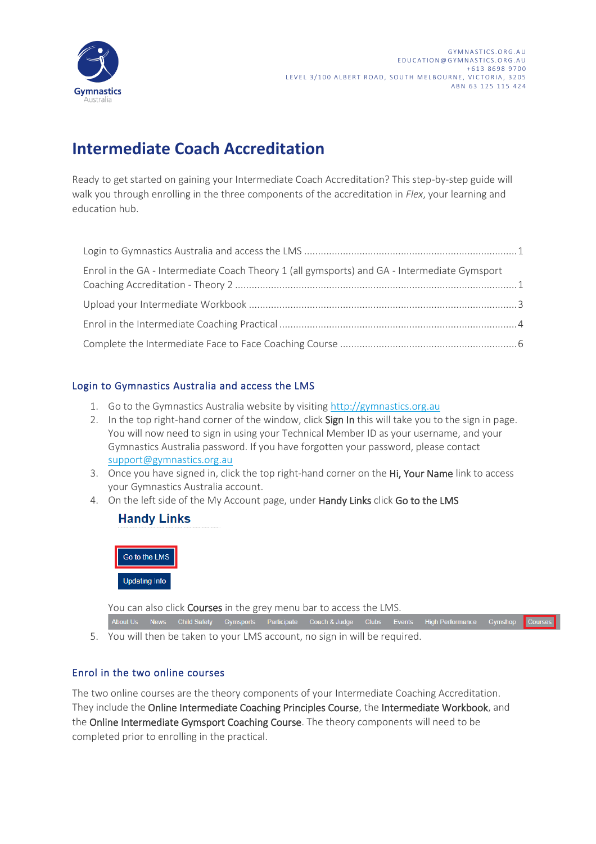

# **Intermediate Coach Accreditation**

Ready to get started on gaining your Intermediate Coach Accreditation? This step-by-step guide will walk you through enrolling in the three components of the accreditation in *Flex*, your learning and education hub.

| Enrol in the GA - Intermediate Coach Theory 1 (all gymsports) and GA - Intermediate Gymsport |  |
|----------------------------------------------------------------------------------------------|--|
|                                                                                              |  |
|                                                                                              |  |
|                                                                                              |  |

#### <span id="page-0-0"></span>Login to Gymnastics Australia and access the LMS

- 1. Go to the Gymnastics Australia website by visiting [http://gymnastics.org.au](http://gymnastics.org.au/)
- 2. In the top right-hand corner of the window, click Sign In this will take you to the sign in page. You will now need to sign in using your Technical Member ID as your username, and your Gymnastics Australia password. If you have forgotten your password, please contact [support@gymnastics.org.au](mailto:support@gymnastics.org.au)
- 3. Once you have signed in, click the top right-hand corner on the Hi, Your Name link to access your Gymnastics Australia account.
- 4. On the left side of the My Account page, under Handy Links click Go to the LMS

### **Handy Links**



You can also click **Courses** in the grey menu bar to access the LMS.

About Us News Child Safety Gymsports Participate Coach & Judge Clubs Events High Performance Gymshop Courses 5. You will then be taken to your LMS account, no sign in will be required.

#### <span id="page-0-1"></span>Enrol in the two online courses

The two online courses are the theory components of your Intermediate Coaching Accreditation. They include the Online Intermediate Coaching Principles Course, the Intermediate Workbook, and the Online Intermediate Gymsport Coaching Course. The theory components will need to be completed prior to enrolling in the practical.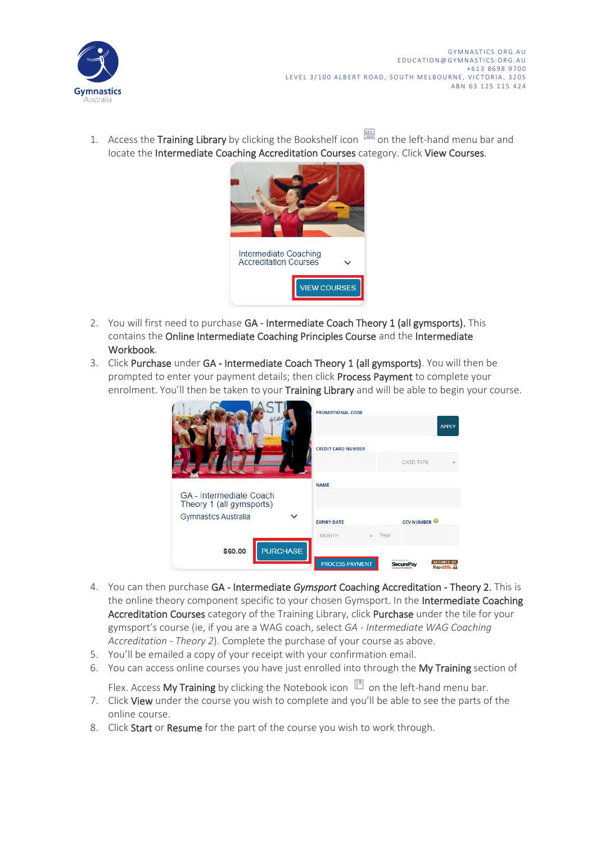

1. Access the Training Library by clicking the Bookshelf icon **and** on the left-hand menu bar and locate the Intermediate Coaching Accreditation Courses category. Click View Courses.



- 2. You will first need to purchase GA Intermediate Coach Theory 1 (all gymsports). This contains the Online Intermediate Coaching Principles Course and the Intermediate Workbook.
- 3. Click Purchase under GA Intermediate Coach Theory 1 (all gymsports). You will then be prompted to enter your payment details; then click Process Payment to complete your enrolment. You'll then be taken to your Training Library and will be able to begin your course.

|                                                     | <b>PROMOTIONAL CODE</b>   |      |                     | <b>APPLY</b>                                |
|-----------------------------------------------------|---------------------------|------|---------------------|---------------------------------------------|
|                                                     | <b>CREDIT CARD NUMBER</b> |      |                     |                                             |
|                                                     |                           |      | <b>CARD TYPE</b>    |                                             |
|                                                     | <b>NAME</b>               |      |                     |                                             |
| GA - Intermediate Coach<br>Theory 1 (all gymsports) |                           |      |                     |                                             |
| Gymnastics Australia                                | <b>EXPIRY DATE</b>        |      | <b>CCV NUMBER @</b> |                                             |
|                                                     | <b>MONTH</b>              | Year |                     |                                             |
| <b>PURCHASE</b><br>\$60.00                          |                           |      |                     |                                             |
|                                                     | <b>PROCESS PAYMENT</b>    |      |                     | <b>SECURED BY</b><br>RapidSSL. <sup>0</sup> |

- 4. You can then purchase GA Intermediate *Gymsport* Coaching Accreditation Theory 2. This is the online theory component specific to your chosen Gymsport. In the Intermediate Coaching Accreditation Courses category of the Training Library, click Purchase under the tile for your gymsport's course (ie, if you are a WAG coach, select *GA - Intermediate WAG Coaching Accreditation - Theory 2*). Complete the purchase of your course as above.
- 5. You'll be emailed a copy of your receipt with your confirmation email.
- 6. You can access online courses you have just enrolled into through the My Training section of

Flex. Access My Training by clicking the Notebook icon  $\mathbb{P}$  on the left-hand menu bar.

- 7. Click View under the course you wish to complete and you'll be able to see the parts of the online course.
- 8. Click Start or Resume for the part of the course you wish to work through.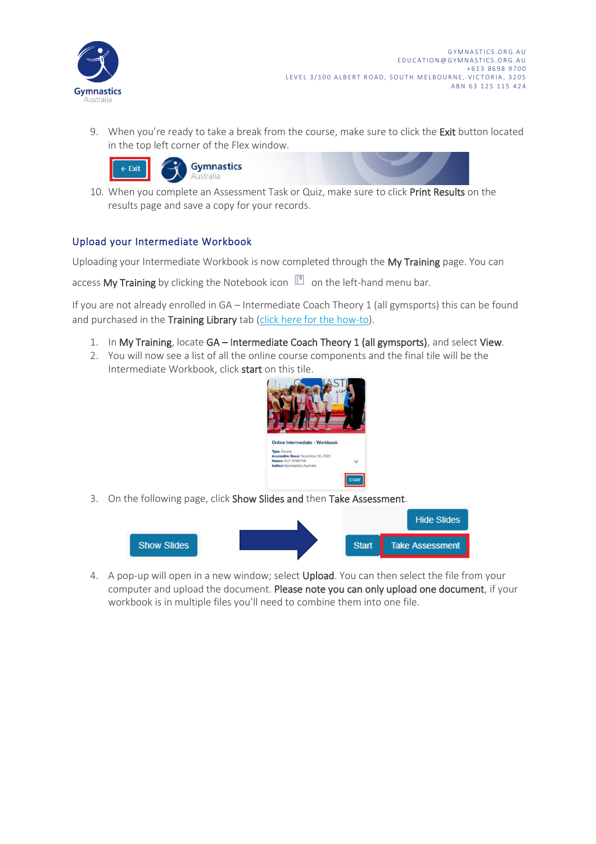

9. When you're ready to take a break from the course, make sure to click the Exit button located in the top left corner of the Flex window.





10. When you complete an Assessment Task or Quiz, make sure to click Print Results on the results page and save a copy for your records.

#### <span id="page-2-0"></span>Upload your Intermediate Workbook

Uploading your Intermediate Workbook is now completed through the My Training page. You can

access My Training by clicking the Notebook icon  $\mathbb{D}$  on the left-hand menu bar.

If you are not already enrolled in GA – Intermediate Coach Theory 1 (all gymsports) this can be found and purchased in the Training Library tab [\(click here for the](#page-0-1) how-to).

- 1. In My Training, locate GA Intermediate Coach Theory 1 (all gymsports), and select View.
- 2. You will now see a list of all the online course components and the final tile will be the Intermediate Workbook, click start on this tile.



3. On the following page, click Show Slides and then Take Assessment.



4. A pop-up will open in a new window; select Upload. You can then select the file from your computer and upload the document. Please note you can only upload one document, if your workbook is in multiple files you'll need to combine them into one file.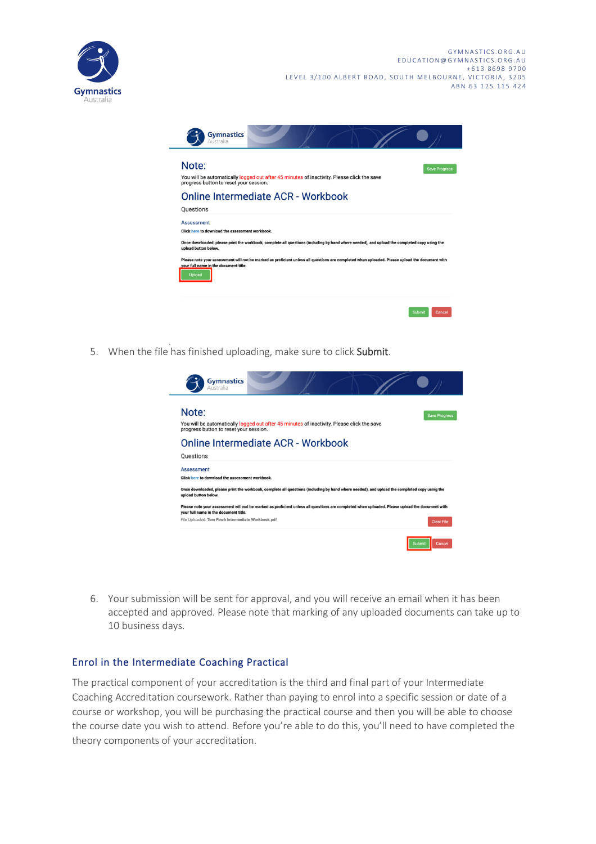



5. When the file has finished uploading, make sure to click Submit.

| <b>Gymnastics</b><br>Australia                                                                                                                                                                                                               |                      |
|----------------------------------------------------------------------------------------------------------------------------------------------------------------------------------------------------------------------------------------------|----------------------|
| Note:<br>You will be automatically logged out after 45 minutes of inactivity. Please click the save<br>progress button to reset your session.                                                                                                | <b>Save Progress</b> |
| Online Intermediate ACR - Workbook<br>Questions                                                                                                                                                                                              |                      |
| <b>Assessment</b><br>Click here to download the assessment workbook.<br>Once downloaded, please print the workbook, complete all questions (including by hand where needed), and upload the completed copy using the<br>upload button below. |                      |
|                                                                                                                                                                                                                                              |                      |
| Please note your assessment will not be marked as proficient unless all questions are completed when uploaded. Please upload the document with<br>your full name in the document title.                                                      |                      |

6. Your submission will be sent for approval, and you will receive an email when it has been accepted and approved. Please note that marking of any uploaded documents can take up to 10 business days.

#### <span id="page-3-0"></span>Enrol in the Intermediate Coaching Practical

The practical component of your accreditation is the third and final part of your Intermediate Coaching Accreditation coursework. Rather than paying to enrol into a specific session or date of a course or workshop, you will be purchasing the practical course and then you will be able to choose the course date you wish to attend. Before you're able to do this, you'll need to have completed the theory components of your accreditation.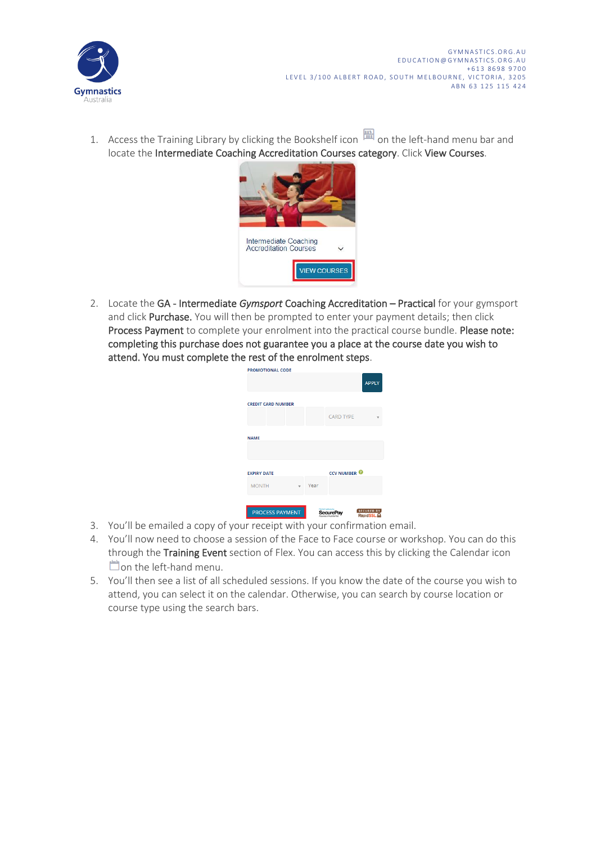

1. Access the Training Library by clicking the Bookshelf icon  $\mathbb{F}$  on the left-hand menu bar and locate the Intermediate Coaching Accreditation Courses category. Click View Courses.



2. Locate the GA - Intermediate *Gymsport* Coaching Accreditation – Practical for your gymsport and click Purchase. You will then be prompted to enter your payment details; then click Process Payment to complete your enrolment into the practical course bundle. Please note: completing this purchase does not guarantee you a place at the course date you wish to attend. You must complete the rest of the enrolment steps.

|                           |      |                     | <b>APPLY</b> |
|---------------------------|------|---------------------|--------------|
| <b>CREDIT CARD NUMBER</b> |      |                     |              |
|                           |      | <b>CARD TYPE</b>    |              |
| <b>NAME</b>               |      |                     |              |
| <b>EXPIRY DATE</b>        |      | <b>CCV NUMBER @</b> |              |
| <b>MONTH</b>              | Year |                     |              |
|                           |      |                     |              |

- 3. You'll be emailed a copy of your receipt with your confirmation email.
- 4. You'll now need to choose a session of the Face to Face course or workshop. You can do this through the Training Event section of Flex. You can access this by clicking the Calendar icon Oon the left-hand menu.
- 5. You'll then see a list of all scheduled sessions. If you know the date of the course you wish to attend, you can select it on the calendar. Otherwise, you can search by course location or course type using the search bars.